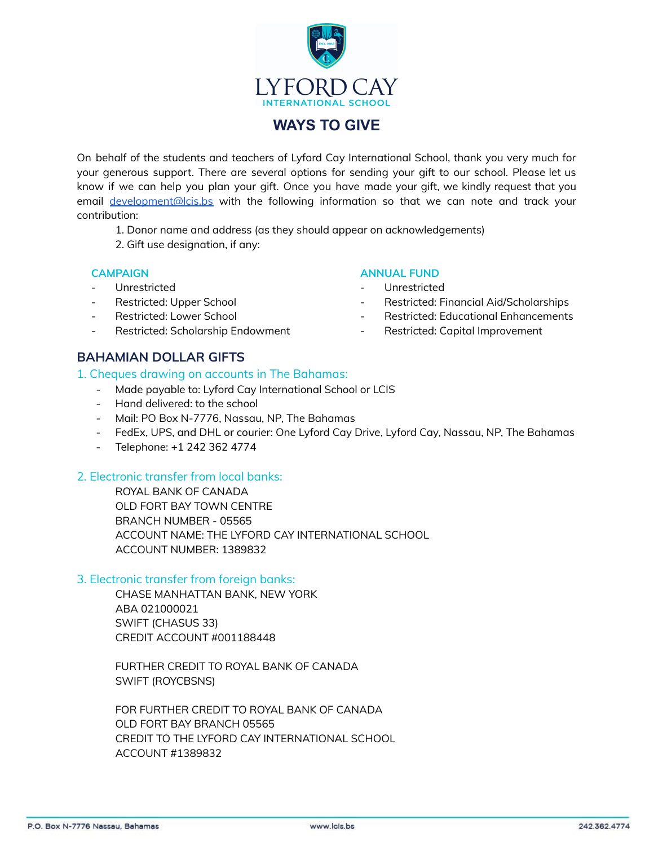

# **WAYS TO GIVE**

On behalf of the students and teachers of Lyford Cay International School, thank you very much for your generous support. There are several options for sending your gift to our school. Please let us know if we can help you plan your gift. Once you have made your gift, we kindly request that you email [development@lcis.bs](mailto:development@lcis.bs) with the following information so that we can note and track your contribution:

- 1. Donor name and address (as they should appear on acknowledgements)
- 2. Gift use designation, if any:

#### **CAMPAIGN**

- **Unrestricted**
- Restricted: Upper School
- Restricted: Lower School
- Restricted: Scholarship Endowment

#### **ANNUAL FUND**

- **Unrestricted**
- Restricted: Financial Aid/Scholarships
- Restricted: Educational Enhancements
- Restricted: Capital Improvement

# **BAHAMIAN DOLLAR GIFTS**

#### 1. Cheques drawing on accounts in The Bahamas:

- Made payable to: Lyford Cay International School or LCIS
- Hand delivered: to the school
- Mail: PO Box N-7776, Nassau, NP, The Bahamas
- FedEx, UPS, and DHL or courier: One Lyford Cay Drive, Lyford Cay, Nassau, NP, The Bahamas
- Telephone: +1 242 362 4774

#### 2. Electronic transfer from local banks:

ROYAL BANK OF CANADA OLD FORT BAY TOWN CENTRE BRANCH NUMBER - 05565 ACCOUNT NAME: THE LYFORD CAY INTERNATIONAL SCHOOL ACCOUNT NUMBER: 1389832

#### 3. Electronic transfer from foreign banks:

CHASE MANHATTAN BANK, NEW YORK ABA 021000021 SWIFT (CHASUS 33) CREDIT ACCOUNT #001188448

FURTHER CREDIT TO ROYAL BANK OF CANADA SWIFT (ROYCBSNS)

FOR FURTHER CREDIT TO ROYAL BANK OF CANADA OLD FORT BAY BRANCH 05565 CREDIT TO THE LYFORD CAY INTERNATIONAL SCHOOL ACCOUNT #1389832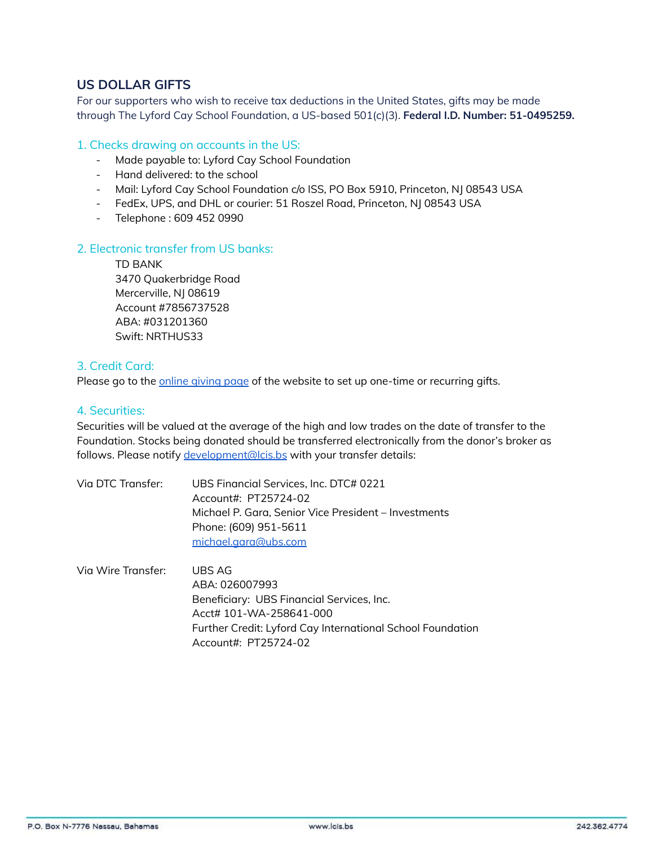# **US DOLLAR GIFTS**

For our supporters who wish to receive tax deductions in the United States, gifts may be made through The Lyford Cay School Foundation, a US-based 501(c)(3). **Federal I.D. Number: 51-0495259.**

### 1. Checks drawing on accounts in the US:

- Made payable to: Lyford Cay School Foundation
- Hand delivered: to the school
- Mail: Lyford Cay School Foundation c/o ISS, PO Box 5910, Princeton, NJ 08543 USA
- FedEx, UPS, and DHL or courier: 51 Roszel Road, Princeton, NJ 08543 USA
- Telephone : 609 452 0990

#### 2. Electronic transfer from US banks:

TD BANK 3470 Quakerbridge Road Mercerville, NJ 08619 Account #7856737528 ABA: #031201360 Swift: NRTHUS33

## 3. Credit Card:

Please go to the online [giving](http://www.lcis.bs/givenow) page of the website to set up one-time or recurring gifts.

# 4. Securities:

Securities will be valued at the average of the high and low trades on the date of transfer to the Foundation. Stocks being donated should be transferred electronically from the donor's broker as follows. Please notify [development@lcis.bs](mailto:development@lcis.bs) with your transfer details:

| Via DTC Transfer:         | UBS Financial Services, Inc. DTC# 0221               |
|---------------------------|------------------------------------------------------|
|                           | Account#: PT25724-02                                 |
|                           | Michael P. Gara, Senior Vice President - Investments |
|                           | Phone: (609) 951-5611                                |
|                           | michael.gara@ubs.com                                 |
| Via Wire Transfer: UBS AG |                                                      |

ABA: 026007993 Beneficiary: UBS Financial Services, Inc. Acct# 101-WA-258641-000 Further Credit: Lyford Cay International School Foundation Account#: PT25724-02